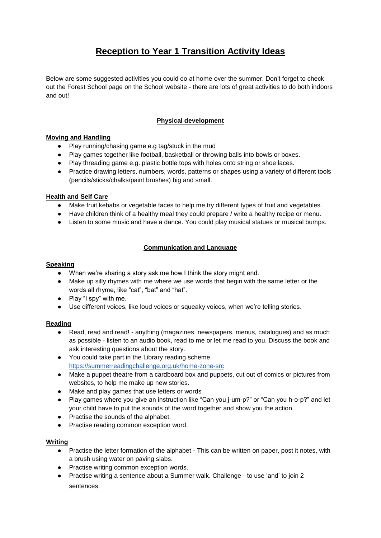# **Reception to Year 1 Transition Activity Ideas**

Below are some suggested activities you could do at home over the summer. Don't forget to check out the Forest School page on the School website - there are lots of great activities to do both indoors and out!

# **Physical development**

# **Moving and Handling**

- Play running/chasing game e.g tag/stuck in the mud
- Play games together like football, basketball or throwing balls into bowls or boxes.
- Play threading game e.g. plastic bottle tops with holes onto string or shoe laces.
- Practice drawing letters, numbers, words, patterns or shapes using a variety of different tools (pencils/sticks/chalks/paint brushes) big and small.

# **Health and Self Care**

- Make fruit kebabs or vegetable faces to help me try different types of fruit and vegetables.
- Have children think of a healthy meal they could prepare / write a healthy recipe or menu.
- Listen to some music and have a dance. You could play musical statues or musical bumps.

# **Communication and Language**

# **Speaking**

- When we're sharing a story ask me how I think the story might end.
- Make up silly rhymes with me where we use words that begin with the same letter or the words all rhyme, like "cat", "bat" and "hat".
- Play "I spy" with me.
- Use different voices, like loud voices or squeaky voices, when we're telling stories.

# **Reading**

- Read, read and read! anything (magazines, newspapers, menus, catalogues) and as much as possible - listen to an audio book, read to me or let me read to you. Discuss the book and ask interesting questions about the story.
- You could take part in the Library reading scheme[,](https://summerreadingchallenge.org.uk/home-zone-src) <https://summerreadingchallenge.org.uk/home-zone-src>
- Make a puppet theatre from a cardboard box and puppets, cut out of comics or pictures from websites, to help me make up new stories.
- Make and play games that use letters or words
- Play games where you give an instruction like "Can you j-um-p?" or "Can you h-o-p?" and let your child have to put the sounds of the word together and show you the action.
- Practise the sounds of the alphabet.
- Practise reading common exception word.

# **Writing**

- Practise the letter formation of the alphabet This can be written on paper, post it notes, with a brush using water on paving slabs.
- Practise writing common exception words.
- Practise writing a sentence about a Summer walk. Challenge to use 'and' to join 2 sentences.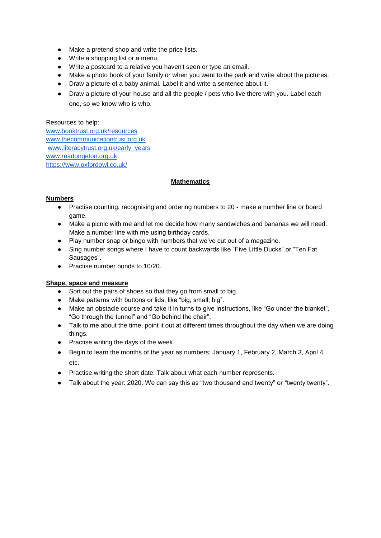- Make a pretend shop and write the price lists.
- Write a shopping list or a menu.
- Write a postcard to a relative you haven't seen or type an email.
- Make a photo book of your family or when you went to the park and write about the pictures.
- Draw a picture of a baby animal. Label it and write a sentence about it.
- Draw a picture of your house and all the people / pets who live there with you. Label each one, so we know who is who.

# Resources to help:

[www.booktrust.org.uk/resources](http://www.booktrust.org.uk/resources) [www.thecommunicationtrust.org.uk](http://www.thecommunicationtrust.org.uk/) [www.literacytrust.org.uk/early\\_years](http://www.literacytrust.org.uk/early_years) [www.readongeton.org.uk](http://www.readongeton.org.uk/) <https://www.oxfordowl.co.uk/>

# **Mathematics**

#### **Numbers**

- Practise counting, recognising and ordering numbers to 20 make a number line or board game.
- Make a picnic with me and let me decide how many sandwiches and bananas we will need. Make a number line with me using birthday cards.
- Play number snap or bingo with numbers that we've cut out of a magazine.
- Sing number songs where I have to count backwards like "Five Little Ducks" or "Ten Fat Sausages".
- Practise number bonds to 10/20.

# **Shape, space and measure**

- Sort out the pairs of shoes so that they go from small to big.
- Make patterns with buttons or lids, like "big, small, big".
- Make an obstacle course and take it in turns to give instructions, like "Go under the blanket", "Go through the tunnel" and "Go behind the chair".
- Talk to me about the time, point it out at different times throughout the day when we are doing things.
- Practise writing the days of the week.
- Begin to learn the months of the year as numbers: January 1, February 2, March 3, April 4 etc.
- Practise writing the short date. Talk about what each number represents.
- Talk about the year: 2020. We can say this as "two thousand and twenty" or "twenty twenty".